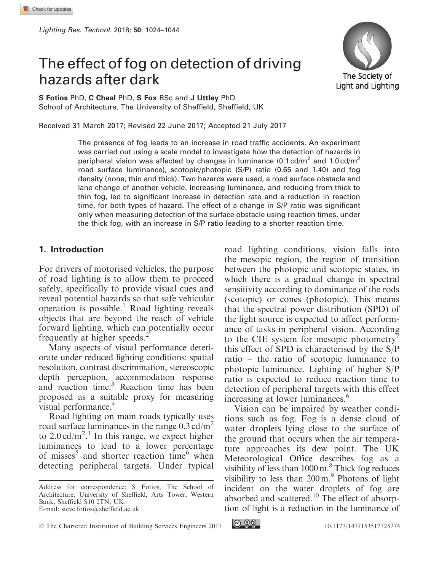# The effect of fog on detection of driving hazards after dark



S Fotios PhD, C Cheal PhD, S Fox BSc and J Uttley PhD School of Architecture, The University of Sheffield, Sheffield, UK

Received 31 March 2017; Revised 22 June 2017; Accepted 21 July 2017

The presence of fog leads to an increase in road traffic accidents. An experiment was carried out using a scale model to investigate how the detection of hazards in peripheral vision was affected by changes in luminance  $(0.1 \text{ cd/m}^2 \text{ and } 1.0 \text{ cd/m}^2)$ road surface luminance), scotopic/photopic (S/P) ratio (0.65 and 1.40) and fog density (none, thin and thick). Two hazards were used, a road surface obstacle and lane change of another vehicle. Increasing luminance, and reducing from thick to thin fog, led to significant increase in detection rate and a reduction in reaction time, for both types of hazard. The effect of a change in S/P ratio was significant only when measuring detection of the surface obstacle using reaction times, under the thick fog, with an increase in S/P ratio leading to a shorter reaction time.

#### 1. Introduction

For drivers of motorised vehicles, the purpose of road lighting is to allow them to proceed safely, specifically to provide visual cues and reveal potential hazards so that safe vehicular operation is possible.<sup>1</sup> Road lighting reveals objects that are beyond the reach of vehicle forward lighting, which can potentially occur frequently at higher speeds.<sup>2</sup>

Many aspects of visual performance deteriorate under reduced lighting conditions: spatial resolution, contrast discrimination, stereoscopic depth perception, accommodation response and reaction time.3 Reaction time has been proposed as a suitable proxy for measuring visual performance.<sup>4</sup>

Road lighting on main roads typically uses road surface luminances in the range  $0.3 \text{ cd/m}^2$ to  $2.0 \text{ cd/m}^2$ .<sup>1</sup> In this range, we expect higher luminances to lead to a lower percentage of misses<sup>5</sup> and shorter reaction time<sup>6</sup> when detecting peripheral targets. Under typical road lighting conditions, vision falls into the mesopic region, the region of transition between the photopic and scotopic states, in which there is a gradual change in spectral sensitivity according to dominance of the rods (scotopic) or cones (photopic). This means that the spectral power distribution (SPD) of the light source is expected to affect performance of tasks in peripheral vision. According to the CIE system for mesopic photometry<sup> $\prime$ </sup> this effect of SPD is characterised by the S/P ratio – the ratio of scotopic luminance to photopic luminance. Lighting of higher S/P ratio is expected to reduce reaction time to detection of peripheral targets with this effect increasing at lower luminances.<sup>6</sup>

Vision can be impaired by weather conditions such as fog. Fog is a dense cloud of water droplets lying close to the surface of the ground that occurs when the air temperature approaches its dew point. The UK Meteorological Office describes fog as a visibility of less than 1000 m.<sup>8</sup> Thick fog reduces visibility to less than  $200 \text{ m}$ .<sup>9</sup> Photons of light incident on the water droplets of fog are absorbed and scattered.10 The effect of absorption of light is a reduction in the luminance of



Address for correspondence: S Fotios, The School of Architecture, University of Sheffield, Arts Tower, Western Bank, Sheffield S10 2TN, UK. E-mail: steve.fotios@sheffield.ac.uk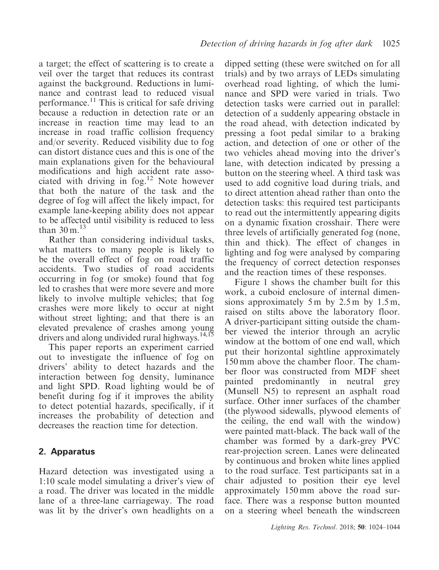a target; the effect of scattering is to create a veil over the target that reduces its contrast against the background. Reductions in luminance and contrast lead to reduced visual performance.<sup>11</sup> This is critical for safe driving because a reduction in detection rate or an increase in reaction time may lead to an increase in road traffic collision frequency and/or severity. Reduced visibility due to fog can distort distance cues and this is one of the main explanations given for the behavioural modifications and high accident rate associated with driving in  $f \circ g$ <sup>12</sup> Note however that both the nature of the task and the degree of fog will affect the likely impact, for example lane-keeping ability does not appear to be affected until visibility is reduced to less than  $30 \text{ m}$ .<sup>13</sup>

Rather than considering individual tasks, what matters to many people is likely to be the overall effect of fog on road traffic accidents. Two studies of road accidents occurring in fog (or smoke) found that fog led to crashes that were more severe and more likely to involve multiple vehicles; that fog crashes were more likely to occur at night without street lighting; and that there is an elevated prevalence of crashes among young drivers and along undivided rural highways.<sup>14,15</sup>

This paper reports an experiment carried out to investigate the influence of fog on drivers' ability to detect hazards and the interaction between fog density, luminance and light SPD. Road lighting would be of benefit during fog if it improves the ability to detect potential hazards, specifically, if it increases the probability of detection and decreases the reaction time for detection.

# 2. Apparatus

Hazard detection was investigated using a 1:10 scale model simulating a driver's view of a road. The driver was located in the middle lane of a three-lane carriageway. The road was lit by the driver's own headlights on a

dipped setting (these were switched on for all trials) and by two arrays of LEDs simulating overhead road lighting, of which the luminance and SPD were varied in trials. Two detection tasks were carried out in parallel: detection of a suddenly appearing obstacle in the road ahead, with detection indicated by pressing a foot pedal similar to a braking action, and detection of one or other of the two vehicles ahead moving into the driver's lane, with detection indicated by pressing a button on the steering wheel. A third task was used to add cognitive load during trials, and to direct attention ahead rather than onto the detection tasks: this required test participants to read out the intermittently appearing digits on a dynamic fixation crosshair. There were three levels of artificially generated fog (none, thin and thick). The effect of changes in lighting and fog were analysed by comparing the frequency of correct detection responses and the reaction times of these responses.

Figure 1 shows the chamber built for this work, a cuboid enclosure of internal dimensions approximately 5 m by 2.5 m by 1.5 m, raised on stilts above the laboratory floor. A driver-participant sitting outside the chamber viewed the interior through an acrylic window at the bottom of one end wall, which put their horizontal sightline approximately 150 mm above the chamber floor. The chamber floor was constructed from MDF sheet painted predominantly in neutral grey (Munsell N5) to represent an asphalt road surface. Other inner surfaces of the chamber (the plywood sidewalls, plywood elements of the ceiling, the end wall with the window) were painted matt-black. The back wall of the chamber was formed by a dark-grey PVC rear-projection screen. Lanes were delineated by continuous and broken white lines applied to the road surface. Test participants sat in a chair adjusted to position their eye level approximately 150 mm above the road surface. There was a response button mounted on a steering wheel beneath the windscreen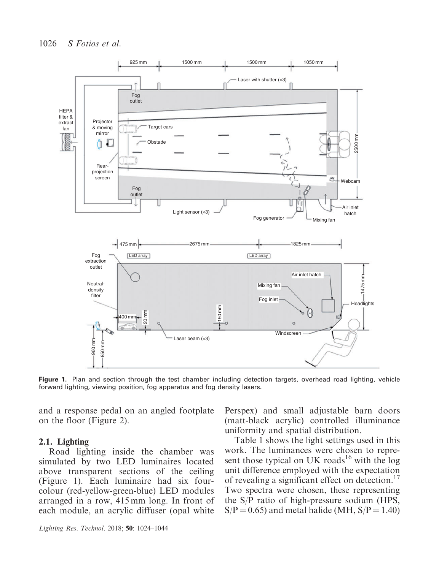

Figure 1. Plan and section through the test chamber including detection targets, overhead road lighting, vehicle forward lighting, viewing position, fog apparatus and fog density lasers.

and a response pedal on an angled footplate on the floor (Figure 2).

#### 2.1. Lighting

Road lighting inside the chamber was simulated by two LED luminaires located above transparent sections of the ceiling (Figure 1). Each luminaire had six fourcolour (red-yellow-green-blue) LED modules arranged in a row, 415 mm long. In front of each module, an acrylic diffuser (opal white Perspex) and small adjustable barn doors (matt-black acrylic) controlled illuminance uniformity and spatial distribution.

Table 1 shows the light settings used in this work. The luminances were chosen to represent those typical on UK roads<sup>16</sup> with the log unit difference employed with the expectation of revealing a significant effect on detection.<sup>17</sup> Two spectra were chosen, these representing the S/P ratio of high-pressure sodium (HPS,  $S/P = 0.65$ ) and metal halide (MH,  $S/P = 1.40$ )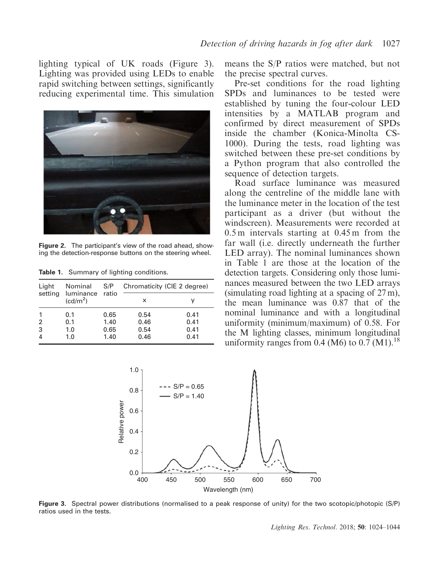lighting typical of UK roads (Figure 3). Lighting was provided using LEDs to enable rapid switching between settings, significantly reducing experimental time. This simulation



**Figure 2.** The participant's view of the road ahead, showing the detection-response buttons on the steering wheel.

| Light<br>setting | Nominal<br>luminance ratio<br>(cd/m <sup>2</sup> ) | S/P  | Chromaticity (CIE 2 degree) |      |  |  |
|------------------|----------------------------------------------------|------|-----------------------------|------|--|--|
|                  |                                                    |      | x                           |      |  |  |
|                  | 0.1                                                | 0.65 | 0.54                        | 0.41 |  |  |
| 2                | 0.1                                                | 1.40 | 0.46                        | 0.41 |  |  |
| 3                | 1.0                                                | 0.65 | 0.54                        | 0.41 |  |  |
|                  | 1.0                                                | 1.40 | 0.46                        | 0.41 |  |  |

Table 1. Summary of lighting conditions.

means the S/P ratios were matched, but not the precise spectral curves.

Pre-set conditions for the road lighting SPDs and luminances to be tested were established by tuning the four-colour LED intensities by a MATLAB program and confirmed by direct measurement of SPDs inside the chamber (Konica-Minolta CS-1000). During the tests, road lighting was switched between these pre-set conditions by a Python program that also controlled the sequence of detection targets.

Road surface luminance was measured along the centreline of the middle lane with the luminance meter in the location of the test participant as a driver (but without the windscreen). Measurements were recorded at 0.5 m intervals starting at 0.45 m from the far wall (i.e. directly underneath the further LED array). The nominal luminances shown in Table 1 are those at the location of the detection targets. Considering only those luminances measured between the two LED arrays (simulating road lighting at a spacing of 27 m), the mean luminance was 0.87 that of the nominal luminance and with a longitudinal uniformity (minimum/maximum) of 0.58. For the M lighting classes, minimum longitudinal uniformity ranges from 0.4 (M6) to 0.7 (M1).<sup>18</sup>



Figure 3. Spectral power distributions (normalised to a peak response of unity) for the two scotopic/photopic (S/P) ratios used in the tests.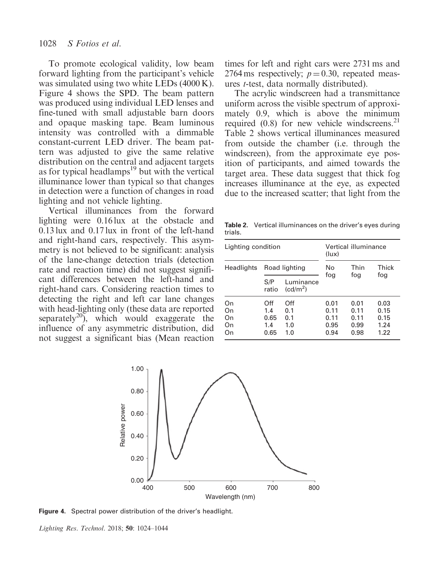To promote ecological validity, low beam forward lighting from the participant's vehicle was simulated using two white LEDs (4000 K). Figure 4 shows the SPD. The beam pattern was produced using individual LED lenses and fine-tuned with small adjustable barn doors and opaque masking tape. Beam luminous intensity was controlled with a dimmable constant-current LED driver. The beam pattern was adjusted to give the same relative distribution on the central and adjacent targets as for typical headlamps $^{19}$  but with the vertical illuminance lower than typical so that changes in detection were a function of changes in road lighting and not vehicle lighting.

Vertical illuminances from the forward lighting were 0.16 lux at the obstacle and 0.13 lux and 0.17 lux in front of the left-hand and right-hand cars, respectively. This asymmetry is not believed to be significant: analysis of the lane-change detection trials (detection rate and reaction time) did not suggest significant differences between the left-hand and right-hand cars. Considering reaction times to detecting the right and left car lane changes with head-lighting only (these data are reported separately<sup>20</sup>), which would exaggerate the influence of any asymmetric distribution, did not suggest a significant bias (Mean reaction

times for left and right cars were 2731 ms and 2764 ms respectively;  $p = 0.30$ , repeated measures t-test, data normally distributed).

The acrylic windscreen had a transmittance uniform across the visible spectrum of approximately 0.9, which is above the minimum required  $(0.8)$  for new vehicle windscreens.<sup>21</sup> Table 2 shows vertical illuminances measured from outside the chamber (i.e. through the windscreen), from the approximate eye position of participants, and aimed towards the target area. These data suggest that thick fog increases illuminance at the eye, as expected due to the increased scatter; that light from the

Table 2. Vertical illuminances on the driver's eyes during trials.

| Lighting condition         |                                   |                                   | Vertical illuminance<br>(lux)        |                                      |                                      |  |
|----------------------------|-----------------------------------|-----------------------------------|--------------------------------------|--------------------------------------|--------------------------------------|--|
| Headlights                 | Road lighting                     |                                   | No                                   | Thin                                 | Thick                                |  |
|                            | S/P<br>ratio                      | Luminance<br>(cd/m <sup>2</sup> ) | fog                                  | fog                                  | fog                                  |  |
| On<br>On<br>On<br>On<br>On | Off<br>1.4<br>0.65<br>1.4<br>0.65 | Off<br>0.1<br>0.1<br>1.0<br>1.0   | 0.01<br>0.11<br>0.11<br>0.95<br>0.94 | 0.01<br>0.11<br>0.11<br>0.99<br>0.98 | 0.03<br>0.15<br>0.15<br>1.24<br>1.22 |  |



Figure 4. Spectral power distribution of the driver's headlight.

Lighting Res. Technol. 2018; 50: 1024–1044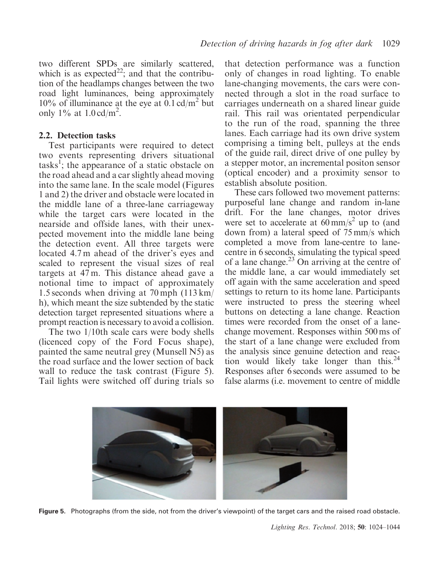two different SPDs are similarly scattered, which is as expected<sup>22</sup>; and that the contribution of the headlamps changes between the two road light luminances, being approximately 10% of illuminance at the eye at  $0.1 \text{ cd/m}^2$  but only 1% at  $1.0 \text{ cd/m}^2$ .

#### 2.2. Detection tasks

Test participants were required to detect two events representing drivers situational tasks<sup>1</sup>; the appearance of a static obstacle on the road ahead and a car slightly ahead moving into the same lane. In the scale model (Figures 1 and 2) the driver and obstacle were located in the middle lane of a three-lane carriageway while the target cars were located in the nearside and offside lanes, with their unexpected movement into the middle lane being the detection event. All three targets were located 4.7 m ahead of the driver's eyes and scaled to represent the visual sizes of real targets at 47 m. This distance ahead gave a notional time to impact of approximately 1.5 seconds when driving at 70 mph (113 km/ h), which meant the size subtended by the static detection target represented situations where a prompt reaction is necessary to avoid a collision.

The two 1/10th scale cars were body shells (licenced copy of the Ford Focus shape), painted the same neutral grey (Munsell N5) as the road surface and the lower section of back wall to reduce the task contrast (Figure 5). Tail lights were switched off during trials so

that detection performance was a function only of changes in road lighting. To enable lane-changing movements, the cars were connected through a slot in the road surface to carriages underneath on a shared linear guide rail. This rail was orientated perpendicular to the run of the road, spanning the three lanes. Each carriage had its own drive system comprising a timing belt, pulleys at the ends of the guide rail, direct drive of one pulley by a stepper motor, an incremental positon sensor (optical encoder) and a proximity sensor to establish absolute position.

These cars followed two movement patterns: purposeful lane change and random in-lane drift. For the lane changes, motor drives were set to accelerate at  $60 \text{ mm/s}^2$  up to (and down from) a lateral speed of 75 mm/s which completed a move from lane-centre to lanecentre in 6 seconds, simulating the typical speed of a lane change.<sup>23</sup> On arriving at the centre of the middle lane, a car would immediately set off again with the same acceleration and speed settings to return to its home lane. Participants were instructed to press the steering wheel buttons on detecting a lane change. Reaction times were recorded from the onset of a lanechange movement. Responses within 500 ms of the start of a lane change were excluded from the analysis since genuine detection and reaction would likely take longer than this.<sup>24</sup> Responses after 6 seconds were assumed to be false alarms (i.e. movement to centre of middle



Figure 5. Photographs (from the side, not from the driver's viewpoint) of the target cars and the raised road obstacle.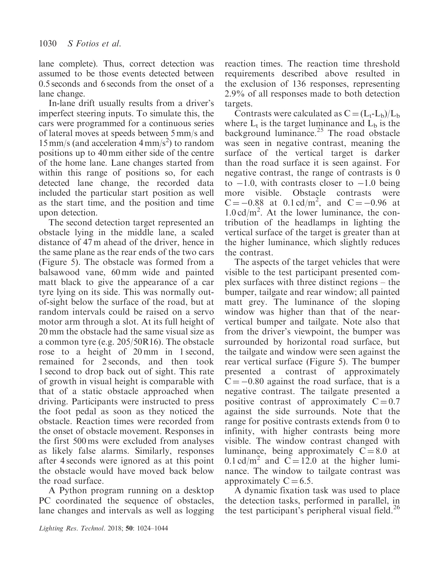lane complete). Thus, correct detection was assumed to be those events detected between 0.5 seconds and 6 seconds from the onset of a lane change.

In-lane drift usually results from a driver's imperfect steering inputs. To simulate this, the cars were programmed for a continuous series of lateral moves at speeds between 5 mm/s and  $15 \text{ mm/s}$  (and acceleration  $4 \text{ mm/s}^2$ ) to random positions up to 40 mm either side of the centre of the home lane. Lane changes started from within this range of positions so, for each detected lane change, the recorded data included the particular start position as well as the start time, and the position and time upon detection.

The second detection target represented an obstacle lying in the middle lane, a scaled distance of 47 m ahead of the driver, hence in the same plane as the rear ends of the two cars (Figure 5). The obstacle was formed from a balsawood vane, 60 mm wide and painted matt black to give the appearance of a car tyre lying on its side. This was normally outof-sight below the surface of the road, but at random intervals could be raised on a servo motor arm through a slot. At its full height of 20 mm the obstacle had the same visual size as a common tyre (e.g. 205/50R16). The obstacle rose to a height of 20 mm in 1 second, remained for 2 seconds, and then took 1 second to drop back out of sight. This rate of growth in visual height is comparable with that of a static obstacle approached when driving. Participants were instructed to press the foot pedal as soon as they noticed the obstacle. Reaction times were recorded from the onset of obstacle movement. Responses in the first 500 ms were excluded from analyses as likely false alarms. Similarly, responses after 4 seconds were ignored as at this point the obstacle would have moved back below the road surface.

A Python program running on a desktop PC coordinated the sequence of obstacles, lane changes and intervals as well as logging

reaction times. The reaction time threshold requirements described above resulted in the exclusion of 136 responses, representing 2.9% of all responses made to both detection targets.

Contrasts were calculated as  $C = (L_t - L_b)/L_b$ where  $L_t$  is the target luminance and  $L_b$  is the background luminance.<sup>25</sup> The road obstacle was seen in negative contrast, meaning the surface of the vertical target is darker than the road surface it is seen against. For negative contrast, the range of contrasts is 0 to  $-1.0$ , with contrasts closer to  $-1.0$  being more visible. Obstacle contrasts were  $C = -0.88$  at 0.1 cd/m<sup>2</sup>, and  $C = -0.96$  at 1.0 cd/m<sup>2</sup> . At the lower luminance, the contribution of the headlamps in lighting the vertical surface of the target is greater than at the higher luminance, which slightly reduces the contrast.

The aspects of the target vehicles that were visible to the test participant presented complex surfaces with three distinct regions – the bumper, tailgate and rear window; all painted matt grey. The luminance of the sloping window was higher than that of the nearvertical bumper and tailgate. Note also that from the driver's viewpoint, the bumper was surrounded by horizontal road surface, but the tailgate and window were seen against the rear vertical surface (Figure 5). The bumper presented a contrast of approximately  $C = -0.80$  against the road surface, that is a negative contrast. The tailgate presented a positive contrast of approximately  $C = 0.7$ against the side surrounds. Note that the range for positive contrasts extends from 0 to infinity, with higher contrasts being more visible. The window contrast changed with luminance, being approximately  $C = 8.0$  at  $0.1 \text{ cd/m}^2$  and  $C = 12.0$  at the higher luminance. The window to tailgate contrast was approximately  $C = 6.5$ .

A dynamic fixation task was used to place the detection tasks, performed in parallel, in the test participant's peripheral visual field.<sup>26</sup>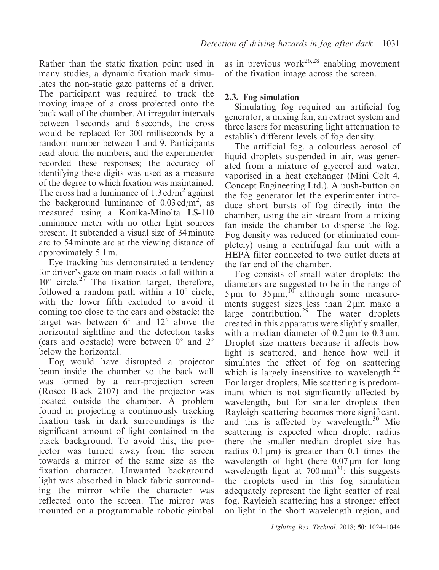Rather than the static fixation point used in many studies, a dynamic fixation mark simulates the non-static gaze patterns of a driver. The participant was required to track the moving image of a cross projected onto the back wall of the chamber. At irregular intervals between 1 seconds and 6 seconds, the cross would be replaced for 300 milliseconds by a random number between 1 and 9. Participants read aloud the numbers, and the experimenter recorded these responses; the accuracy of identifying these digits was used as a measure of the degree to which fixation was maintained. The cross had a luminance of  $1.3 \text{ cd/m}^2$  against the background luminance of  $0.03 \text{ cd/m}^2$ , as measured using a Konika-Minolta LS-110 luminance meter with no other light sources present. It subtended a visual size of 34 minute arc to 54 minute arc at the viewing distance of approximately 5.1 m.

Eye tracking has demonstrated a tendency for driver's gaze on main roads to fall within a  $10^{\circ}$  circle.<sup>27</sup> The fixation target, therefore, followed a random path within a  $10^{\circ}$  circle, with the lower fifth excluded to avoid it coming too close to the cars and obstacle: the target was between  $6^\circ$  and  $12^\circ$  above the horizontal sightline and the detection tasks (cars and obstacle) were between  $0^{\circ}$  and  $2^{\circ}$ below the horizontal.

Fog would have disrupted a projector beam inside the chamber so the back wall was formed by a rear-projection screen (Rosco Black 2107) and the projector was located outside the chamber. A problem found in projecting a continuously tracking fixation task in dark surroundings is the significant amount of light contained in the black background. To avoid this, the projector was turned away from the screen towards a mirror of the same size as the fixation character. Unwanted background light was absorbed in black fabric surrounding the mirror while the character was reflected onto the screen. The mirror was mounted on a programmable robotic gimbal

as in previous work<sup>26,28</sup> enabling movement of the fixation image across the screen.

## 2.3. Fog simulation

Simulating fog required an artificial fog generator, a mixing fan, an extract system and three lasers for measuring light attenuation to establish different levels of fog density.

The artificial fog, a colourless aerosol of liquid droplets suspended in air, was generated from a mixture of glycerol and water, vaporised in a heat exchanger (Mini Colt 4, Concept Engineering Ltd.). A push-button on the fog generator let the experimenter introduce short bursts of fog directly into the chamber, using the air stream from a mixing fan inside the chamber to disperse the fog. Fog density was reduced (or eliminated completely) using a centrifugal fan unit with a HEPA filter connected to two outlet ducts at the far end of the chamber.

Fog consists of small water droplets: the diameters are suggested to be in the range of  $5 \mu m$  to  $35 \mu m$ ,<sup>10</sup> although some measurements suggest sizes less than  $2 \mu m$  make a large contribution.<sup>29</sup> The water droplets created in this apparatus were slightly smaller, with a median diameter of  $0.2 \mu m$  to  $0.3 \mu m$ . Droplet size matters because it affects how light is scattered, and hence how well it simulates the effect of fog on scattering which is largely insensitive to wavelength. $^{22}$ For larger droplets, Mie scattering is predominant which is not significantly affected by wavelength, but for smaller droplets then Rayleigh scattering becomes more significant, and this is affected by wavelength.<sup>30</sup> Mie scattering is expected when droplet radius (here the smaller median droplet size has radius  $0.1 \mu m$ ) is greater than  $0.1 \text{ times}$  the wavelength of light (here  $0.07 \mu m$  for long wavelength light at  $700 \text{ nm}$ <sup>31</sup>: this suggests the droplets used in this fog simulation adequately represent the light scatter of real fog. Rayleigh scattering has a stronger effect on light in the short wavelength region, and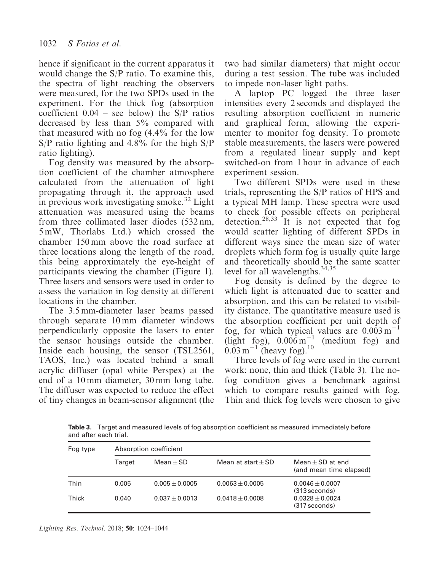hence if significant in the current apparatus it would change the S/P ratio. To examine this, the spectra of light reaching the observers were measured, for the two SPDs used in the experiment. For the thick fog (absorption coefficient  $0.04$  – see below) the S/P ratios decreased by less than 5% compared with that measured with no fog (4.4% for the low S/P ratio lighting and 4.8% for the high S/P ratio lighting).

Fog density was measured by the absorption coefficient of the chamber atmosphere calculated from the attenuation of light propagating through it, the approach used in previous work investigating smoke.<sup>32</sup> Light attenuation was measured using the beams from three collimated laser diodes (532 nm, 5 mW, Thorlabs Ltd.) which crossed the chamber 150 mm above the road surface at three locations along the length of the road, this being approximately the eye-height of participants viewing the chamber (Figure 1). Three lasers and sensors were used in order to assess the variation in fog density at different locations in the chamber.

The 3.5 mm-diameter laser beams passed through separate 10 mm diameter windows perpendicularly opposite the lasers to enter the sensor housings outside the chamber. Inside each housing, the sensor (TSL2561, TAOS, Inc.) was located behind a small acrylic diffuser (opal white Perspex) at the end of a 10 mm diameter, 30 mm long tube. The diffuser was expected to reduce the effect of tiny changes in beam-sensor alignment (the two had similar diameters) that might occur during a test session. The tube was included to impede non-laser light paths.

A laptop PC logged the three laser intensities every 2 seconds and displayed the resulting absorption coefficient in numeric and graphical form, allowing the experimenter to monitor fog density. To promote stable measurements, the lasers were powered from a regulated linear supply and kept switched-on from 1 hour in advance of each experiment session.

Two different SPDs were used in these trials, representing the S/P ratios of HPS and a typical MH lamp. These spectra were used to check for possible effects on peripheral detection.<sup>28,33</sup> It is not expected that fog would scatter lighting of different SPDs in different ways since the mean size of water droplets which form fog is usually quite large and theoretically should be the same scatter level for all wavelengths.<sup>34,35</sup>

Fog density is defined by the degree to which light is attenuated due to scatter and absorption, and this can be related to visibility distance. The quantitative measure used is the absorption coefficient per unit depth of fog, for which typical values are  $0.003 \text{ m}^{-1}$ (light fog),  $0.006 \text{ m}^{-1}$ (medium fog) and  $0.03 \,\mathrm{m}^{-1}$  (heavy fog).<sup>10</sup>

Three levels of fog were used in the current work: none, thin and thick (Table 3). The nofog condition gives a benchmark against which to compare results gained with fog. Thin and thick fog levels were chosen to give

Table 3. Target and measured levels of fog absorption coefficient as measured immediately before and after each trial.

| Fog type |        | Absorption coefficient |                      |                                               |  |  |  |  |
|----------|--------|------------------------|----------------------|-----------------------------------------------|--|--|--|--|
|          | Target | $Mean + SD$            | Mean at start $+$ SD | Mean $+$ SD at end<br>(and mean time elapsed) |  |  |  |  |
| Thin     | 0.005  | $0.005 + 0.0005$       | $0.0063 + 0.0005$    | $0.0046 + 0.0007$<br>(313 seconds)            |  |  |  |  |
| Thick    | 0.040  | $0.037 + 0.0013$       | $0.0418 + 0.0008$    | $0.0328 + 0.0024$<br>$(317$ seconds)          |  |  |  |  |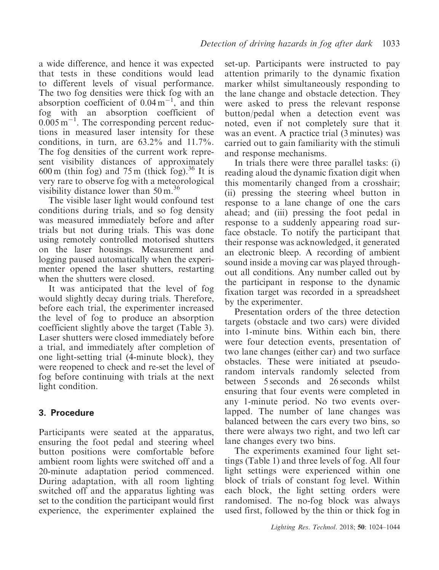a wide difference, and hence it was expected that tests in these conditions would lead to different levels of visual performance. The two fog densities were thick fog with an absorption coefficient of  $0.04 \text{ m}^{-1}$ , and thin fog with an absorption coefficient of  $0.005 \,\mathrm{m}^{-1}$ . The corresponding percent reductions in measured laser intensity for these conditions, in turn, are  $63.2\%$  and  $11.7\%$ . The fog densities of the current work represent visibility distances of approximately 600 m (thin fog) and 75 m (thick fog).<sup>36</sup> It is very rare to observe fog with a meteorological visibility distance lower than  $50 \text{ m}$ .<sup>36</sup>

The visible laser light would confound test conditions during trials, and so fog density was measured immediately before and after trials but not during trials. This was done using remotely controlled motorised shutters on the laser housings. Measurement and logging paused automatically when the experimenter opened the laser shutters, restarting when the shutters were closed.

It was anticipated that the level of fog would slightly decay during trials. Therefore, before each trial, the experimenter increased the level of fog to produce an absorption coefficient slightly above the target (Table 3). Laser shutters were closed immediately before a trial, and immediately after completion of one light-setting trial (4-minute block), they were reopened to check and re-set the level of fog before continuing with trials at the next light condition.

# 3. Procedure

Participants were seated at the apparatus, ensuring the foot pedal and steering wheel button positions were comfortable before ambient room lights were switched off and a 20-minute adaptation period commenced. During adaptation, with all room lighting switched off and the apparatus lighting was set to the condition the participant would first experience, the experimenter explained the set-up. Participants were instructed to pay attention primarily to the dynamic fixation marker whilst simultaneously responding to the lane change and obstacle detection. They were asked to press the relevant response button/pedal when a detection event was noted, even if not completely sure that it was an event. A practice trial (3 minutes) was carried out to gain familiarity with the stimuli and response mechanisms.

In trials there were three parallel tasks: (i) reading aloud the dynamic fixation digit when this momentarily changed from a crosshair; (ii) pressing the steering wheel button in response to a lane change of one the cars ahead; and (iii) pressing the foot pedal in response to a suddenly appearing road surface obstacle. To notify the participant that their response was acknowledged, it generated an electronic bleep. A recording of ambient sound inside a moving car was played throughout all conditions. Any number called out by the participant in response to the dynamic fixation target was recorded in a spreadsheet by the experimenter.

Presentation orders of the three detection targets (obstacle and two cars) were divided into 1-minute bins. Within each bin, there were four detection events, presentation of two lane changes (either car) and two surface obstacles. These were initiated at pseudorandom intervals randomly selected from between 5 seconds and 26 seconds whilst ensuring that four events were completed in any 1-minute period. No two events overlapped. The number of lane changes was balanced between the cars every two bins, so there were always two right, and two left car lane changes every two bins.

The experiments examined four light settings (Table 1) and three levels of fog. All four light settings were experienced within one block of trials of constant fog level. Within each block, the light setting orders were randomised. The no-fog block was always used first, followed by the thin or thick fog in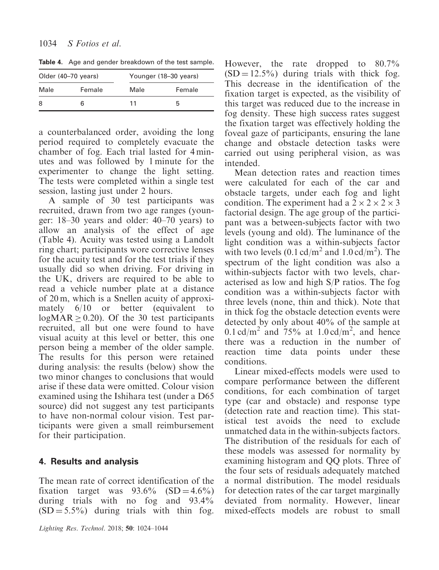|                | Older (40-70 years) | Younger (18-30 years) |        |  |  |
|----------------|---------------------|-----------------------|--------|--|--|
| Female<br>Male |                     | Male                  | Female |  |  |
| 8              |                     | 11                    | h      |  |  |

Table 4. Age and gender breakdown of the test sample.

a counterbalanced order, avoiding the long period required to completely evacuate the chamber of fog. Each trial lasted for 4 minutes and was followed by 1 minute for the experimenter to change the light setting. The tests were completed within a single test session, lasting just under 2 hours.

A sample of 30 test participants was recruited, drawn from two age ranges (younger: 18–30 years and older: 40–70 years) to allow an analysis of the effect of age (Table 4). Acuity was tested using a Landolt ring chart; participants wore corrective lenses for the acuity test and for the test trials if they usually did so when driving. For driving in the UK, drivers are required to be able to read a vehicle number plate at a distance of 20 m, which is a Snellen acuity of approximately 6/10 or better (equivalent to  $logMAR \geq 0.20$ . Of the 30 test participants recruited, all but one were found to have visual acuity at this level or better, this one person being a member of the older sample. The results for this person were retained during analysis: the results (below) show the two minor changes to conclusions that would arise if these data were omitted. Colour vision examined using the Ishihara test (under a D65 source) did not suggest any test participants to have non-normal colour vision. Test participants were given a small reimbursement for their participation.

# 4. Results and analysis

The mean rate of correct identification of the fixation target was  $93.6\%$  (SD = 4.6%) during trials with no fog and 93.4%  $(SD = 5.5\%)$  during trials with thin fog.

However, the rate dropped to 80.7%  $(SD = 12.5\%)$  during trials with thick fog. This decrease in the identification of the fixation target is expected, as the visibility of this target was reduced due to the increase in fog density. These high success rates suggest the fixation target was effectively holding the foveal gaze of participants, ensuring the lane change and obstacle detection tasks were carried out using peripheral vision, as was intended.

Mean detection rates and reaction times were calculated for each of the car and obstacle targets, under each fog and light condition. The experiment had a  $2 \times 2 \times 2 \times 3$ factorial design. The age group of the participant was a between-subjects factor with two levels (young and old). The luminance of the light condition was a within-subjects factor with two levels  $(0.1 \text{ cd/m}^2 \text{ and } 1.0 \text{ cd/m}^2)$ . The spectrum of the light condition was also a within-subjects factor with two levels, characterised as low and high S/P ratios. The fog condition was a within-subjects factor with three levels (none, thin and thick). Note that in thick fog the obstacle detection events were detected by only about 40% of the sample at 0.1 cd/m<sup>2</sup> and 75% at 1.0 cd/m<sup>2</sup>, and hence there was a reduction in the number of reaction time data points under these conditions.

Linear mixed-effects models were used to compare performance between the different conditions, for each combination of target type (car and obstacle) and response type (detection rate and reaction time). This statistical test avoids the need to exclude unmatched data in the within-subjects factors. The distribution of the residuals for each of these models was assessed for normality by examining histogram and QQ plots. Three of the four sets of residuals adequately matched a normal distribution. The model residuals for detection rates of the car target marginally deviated from normality. However, linear mixed-effects models are robust to small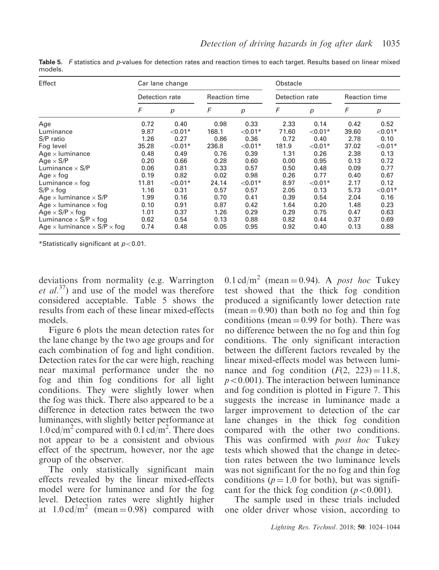| Effect                                           | Car lane change |           |                      |            | Obstacle       |                  |                      |            |
|--------------------------------------------------|-----------------|-----------|----------------------|------------|----------------|------------------|----------------------|------------|
|                                                  | Detection rate  |           | <b>Reaction time</b> |            | Detection rate |                  | <b>Reaction time</b> |            |
|                                                  | F               | р         | F                    | p          | F              | $\boldsymbol{p}$ | F                    | р          |
| Age                                              | 0.72            | 0.40      | 0.98                 | 0.33       | 2.33           | 0.14             | 0.42                 | 0.52       |
| Luminance                                        | 9.87            | $< 0.01*$ | 168.1                | ${<}0.01*$ | 71.60          | $< 0.01*$        | 39.60                | ${<}0.01*$ |
| S/P ratio                                        | 1.26            | 0.27      | 0.86                 | 0.36       | 0.72           | 0.40             | 2.78                 | 0.10       |
| Fog level                                        | 35.28           | $< 0.01*$ | 236.8                | ${<}0.01*$ | 181.9          | $< 0.01*$        | 37.02                | $< 0.01*$  |
| Age $\times$ luminance                           | 0.48            | 0.49      | 0.76                 | 0.39       | 1.31           | 0.26             | 2.38                 | 0.13       |
| Age $\times$ S/P                                 | 0.20            | 0.66      | 0.28                 | 0.60       | 0.00           | 0.95             | 0.13                 | 0.72       |
| Luminance $\times$ S/P                           | 0.06            | 0.81      | 0.33                 | 0.57       | 0.50           | 0.48             | 0.09                 | 0.77       |
| Age $\times$ fog                                 | 0.19            | 0.82      | 0.02                 | 0.98       | 0.26           | 0.77             | 0.40                 | 0.67       |
| Luminance $\times$ fog                           | 11.81           | $< 0.01*$ | 24.14                | ${<}0.01*$ | 8.97           | $< 0.01*$        | 2.17                 | 0.12       |
| $S/P \times fog$                                 | 1.16            | 0.31      | 0.57                 | 0.57       | 2.05           | 0.13             | 5.73                 | $< 0.01*$  |
| Age $\times$ luminance $\times$ S/P              | 1.99            | 0.16      | 0.70                 | 0.41       | 0.39           | 0.54             | 2.04                 | 0.16       |
| Age $\times$ luminance $\times$ fog              | 0.10            | 0.91      | 0.87                 | 0.42       | 1.64           | 0.20             | 1.48                 | 0.23       |
| Age $\times$ S/P $\times$ fog                    | 1.01            | 0.37      | 1.26                 | 0.29       | 0.29           | 0.75             | 0.47                 | 0.63       |
| Luminance $\times$ S/P $\times$ fog              | 0.62            | 0.54      | 0.13                 | 0.88       | 0.82           | 0.44             | 0.37                 | 0.69       |
| Age $\times$ luminance $\times$ S/P $\times$ fog | 0.74            | 0.48      | 0.05                 | 0.95       | 0.92           | 0.40             | 0.13                 | 0.88       |

Table 5. F statistics and p-values for detection rates and reaction times to each target. Results based on linear mixed models.

\*Statistically significant at  $p<0.01$ .

deviations from normality (e.g. Warrington *et al.*<sup>37</sup>) and use of the model was therefore considered acceptable. Table 5 shows the results from each of these linear mixed-effects models.

Figure 6 plots the mean detection rates for the lane change by the two age groups and for each combination of fog and light condition. Detection rates for the car were high, reaching near maximal performance under the no fog and thin fog conditions for all light conditions. They were slightly lower when the fog was thick. There also appeared to be a difference in detection rates between the two luminances, with slightly better performance at  $1.0 \text{ cd/m}^2$  compared with 0.1 cd/m<sup>2</sup>. There does not appear to be a consistent and obvious effect of the spectrum, however, nor the age group of the observer.

The only statistically significant main effects revealed by the linear mixed-effects model were for luminance and for the fog level. Detection rates were slightly higher at  $1.0 \text{ cd/m}^2$  (mean = 0.98) compared with 0.1 cd/m<sup>2</sup> (mean = 0.94). A post hoc Tukey test showed that the thick fog condition produced a significantly lower detection rate  $(mean = 0.90)$  than both no fog and thin fog conditions (mean  $= 0.99$  for both). There was no difference between the no fog and thin fog conditions. The only significant interaction between the different factors revealed by the linear mixed-effects model was between luminance and fog condition  $(F(2, 223) = 11.8,$  $p<0.001$ ). The interaction between luminance and fog condition is plotted in Figure 7. This suggests the increase in luminance made a larger improvement to detection of the car lane changes in the thick fog condition compared with the other two conditions. This was confirmed with *post hoc* Tukey tests which showed that the change in detection rates between the two luminance levels was not significant for the no fog and thin fog conditions ( $p = 1.0$  for both), but was significant for the thick fog condition ( $p<0.001$ ).

The sample used in these trials included one older driver whose vision, according to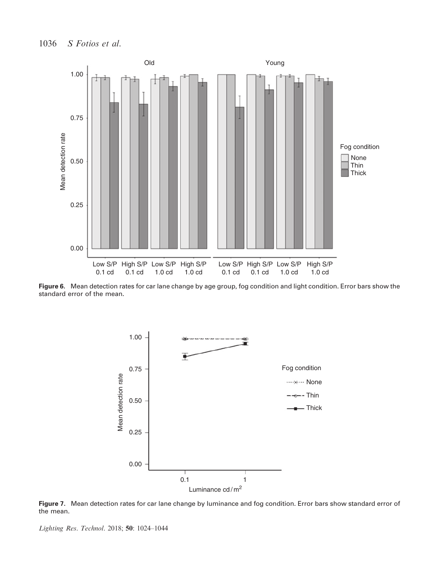

Figure 6. Mean detection rates for car lane change by age group, fog condition and light condition. Error bars show the standard error of the mean.



Figure 7. Mean detection rates for car lane change by luminance and fog condition. Error bars show standard error of the mean.

Lighting Res. Technol. 2018; 50: 1024–1044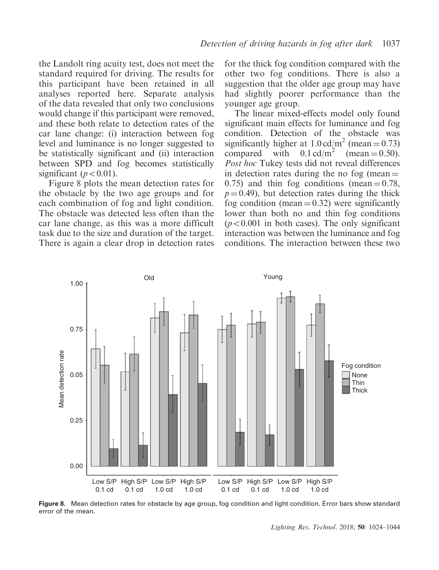the Landolt ring acuity test, does not meet the standard required for driving. The results for this participant have been retained in all analyses reported here. Separate analysis of the data revealed that only two conclusions would change if this participant were removed, and these both relate to detection rates of the car lane change: (i) interaction between fog level and luminance is no longer suggested to be statistically significant and (ii) interaction between SPD and fog becomes statistically significant ( $p<0.01$ ).

Figure 8 plots the mean detection rates for the obstacle by the two age groups and for each combination of fog and light condition. The obstacle was detected less often than the car lane change, as this was a more difficult task due to the size and duration of the target. There is again a clear drop in detection rates for the thick fog condition compared with the other two fog conditions. There is also a suggestion that the older age group may have had slightly poorer performance than the younger age group.

The linear mixed-effects model only found significant main effects for luminance and fog condition. Detection of the obstacle was significantly higher at  $1.0 \text{ cd/m}^2$  (mean = 0.73) compared with  $0.1 \text{ cd/m}^2$  (mean  $= 0.50$ ). Post hoc Tukey tests did not reveal differences in detection rates during the no fog (mean  $=$ 0.75) and thin fog conditions (mean  $= 0.78$ ,  $p = 0.49$ ), but detection rates during the thick fog condition (mean  $= 0.32$ ) were significantly lower than both no and thin fog conditions  $(p<0.001$  in both cases). The only significant interaction was between the luminance and fog conditions. The interaction between these two



Figure 8. Mean detection rates for obstacle by age group, fog condition and light condition. Error bars show standard error of the mean.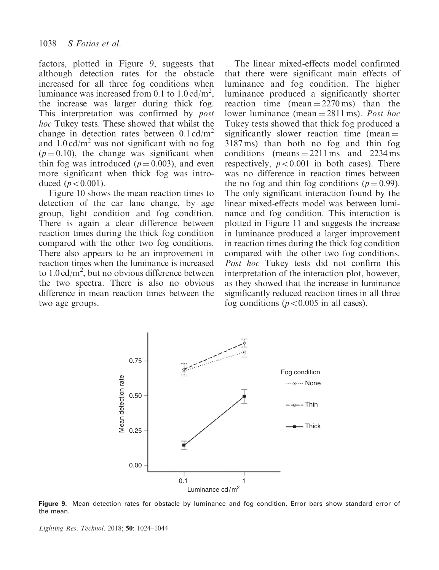factors, plotted in Figure 9, suggests that although detection rates for the obstacle increased for all three fog conditions when luminance was increased from 0.1 to  $1.0 \text{ cd/m}^2$ , the increase was larger during thick fog. This interpretation was confirmed by post hoc Tukey tests. These showed that whilst the change in detection rates between  $0.1 \text{ cd/m}^2$ and  $1.0 \text{ cd/m}^2$  was not significant with no fog  $(p = 0.10)$ , the change was significant when thin fog was introduced ( $p = 0.003$ ), and even more significant when thick fog was introduced  $(p<0.001)$ .

Figure 10 shows the mean reaction times to detection of the car lane change, by age group, light condition and fog condition. There is again a clear difference between reaction times during the thick fog condition compared with the other two fog conditions. There also appears to be an improvement in reaction times when the luminance is increased to  $1.0 \text{ cd/m}^2$ , but no obvious difference between the two spectra. There is also no obvious difference in mean reaction times between the two age groups.

The linear mixed-effects model confirmed that there were significant main effects of luminance and fog condition. The higher luminance produced a significantly shorter reaction time  $(mean = 2270 \text{ ms})$  than the lower luminance (mean  $= 2811$  ms). Post hoc Tukey tests showed that thick fog produced a significantly slower reaction time (mean  $=$ 3187 ms) than both no fog and thin fog conditions (means  $= 2211 \text{ ms}$  and  $2234 \text{ ms}$ ) respectively,  $p<0.001$  in both cases). There was no difference in reaction times between the no fog and thin fog conditions ( $p = 0.99$ ). The only significant interaction found by the linear mixed-effects model was between luminance and fog condition. This interaction is plotted in Figure 11 and suggests the increase in luminance produced a larger improvement in reaction times during the thick fog condition compared with the other two fog conditions. Post hoc Tukey tests did not confirm this interpretation of the interaction plot, however, as they showed that the increase in luminance significantly reduced reaction times in all three fog conditions ( $p<0.005$  in all cases).



Figure 9. Mean detection rates for obstacle by luminance and fog condition. Error bars show standard error of the mean.

Lighting Res. Technol. 2018; 50: 1024–1044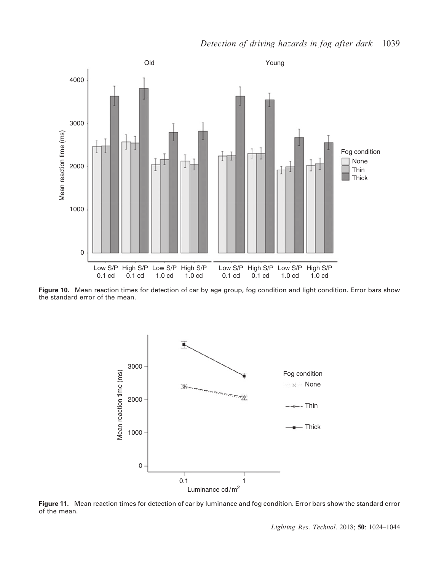

Figure 10. Mean reaction times for detection of car by age group, fog condition and light condition. Error bars show the standard error of the mean.



Figure 11. Mean reaction times for detection of car by luminance and fog condition. Error bars show the standard error of the mean.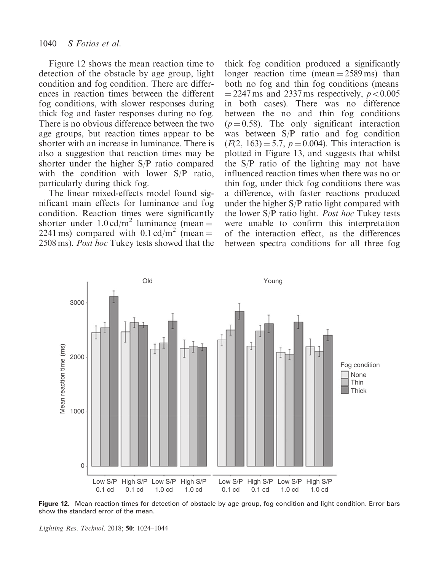Figure 12 shows the mean reaction time to detection of the obstacle by age group, light condition and fog condition. There are differences in reaction times between the different fog conditions, with slower responses during thick fog and faster responses during no fog. There is no obvious difference between the two age groups, but reaction times appear to be shorter with an increase in luminance. There is also a suggestion that reaction times may be shorter under the higher S/P ratio compared with the condition with lower S/P ratio, particularly during thick fog.

The linear mixed-effects model found significant main effects for luminance and fog condition. Reaction times were significantly shorter under  $1.0 \text{ cd/m}^2$  luminance (mean = 2241 ms) compared with  $0.1 \text{ cd/m}^2$  (mean = 2508 ms). Post hoc Tukey tests showed that the thick fog condition produced a significantly longer reaction time (mean  $= 2589 \text{ ms}$ ) than both no fog and thin fog conditions (means  $=$  2247 ms and 2337 ms respectively,  $p<0.005$ in both cases). There was no difference between the no and thin fog conditions  $(p = 0.58)$ . The only significant interaction was between S/P ratio and fog condition  $(F(2, 163) = 5.7, p = 0.004)$ . This interaction is plotted in Figure 13, and suggests that whilst the S/P ratio of the lighting may not have influenced reaction times when there was no or thin fog, under thick fog conditions there was a difference, with faster reactions produced under the higher S/P ratio light compared with the lower S/P ratio light. Post hoc Tukey tests were unable to confirm this interpretation of the interaction effect, as the differences between spectra conditions for all three fog



Figure 12. Mean reaction times for detection of obstacle by age group, fog condition and light condition. Error bars show the standard error of the mean.

Lighting Res. Technol. 2018; 50: 1024–1044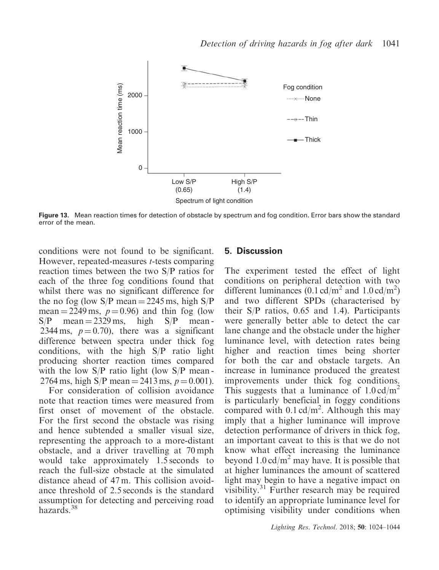

Figure 13. Mean reaction times for detection of obstacle by spectrum and fog condition. Error bars show the standard error of the mean.

conditions were not found to be significant. However, repeated-measures t-tests comparing reaction times between the two S/P ratios for each of the three fog conditions found that whilst there was no significant difference for the no fog (low  $S/P$  mean = 2245 ms, high  $S/P$ mean = 2249 ms,  $p = 0.96$ ) and thin fog (low  $S/P$  mean = 2329 ms, high  $S/P$  mean -2344 ms,  $p = 0.70$ , there was a significant difference between spectra under thick fog conditions, with the high S/P ratio light producing shorter reaction times compared with the low  $S/P$  ratio light (low  $S/P$  mean-2764 ms, high S/P mean = 2413 ms,  $p = 0.001$ ).

For consideration of collision avoidance note that reaction times were measured from first onset of movement of the obstacle. For the first second the obstacle was rising and hence subtended a smaller visual size, representing the approach to a more-distant obstacle, and a driver travelling at 70 mph would take approximately 1.5 seconds to reach the full-size obstacle at the simulated distance ahead of 47 m. This collision avoidance threshold of 2.5 seconds is the standard assumption for detecting and perceiving road hazards.<sup>38</sup>

#### 5. Discussion

The experiment tested the effect of light conditions on peripheral detection with two different luminances  $(0.1 \text{ cd/m}^2 \text{ and } 1.0 \text{ cd/m}^2)$ and two different SPDs (characterised by their S/P ratios, 0.65 and 1.4). Participants were generally better able to detect the car lane change and the obstacle under the higher luminance level, with detection rates being higher and reaction times being shorter for both the car and obstacle targets. An increase in luminance produced the greatest improvements under thick fog conditions. This suggests that a luminance of  $1.0 \text{ cd/m}^2$ is particularly beneficial in foggy conditions compared with  $0.1 \text{ cd/m}^2$ . Although this may imply that a higher luminance will improve detection performance of drivers in thick fog, an important caveat to this is that we do not know what effect increasing the luminance beyond  $1.0 \text{ cd/m}^2$  may have. It is possible that at higher luminances the amount of scattered light may begin to have a negative impact on visibility.<sup>31</sup> Further research may be required to identify an appropriate luminance level for optimising visibility under conditions when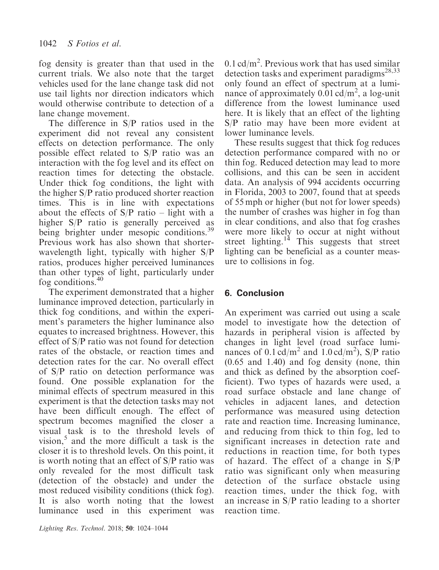fog density is greater than that used in the current trials. We also note that the target vehicles used for the lane change task did not use tail lights nor direction indicators which would otherwise contribute to detection of a lane change movement.

The difference in S/P ratios used in the experiment did not reveal any consistent effects on detection performance. The only possible effect related to S/P ratio was an interaction with the fog level and its effect on reaction times for detecting the obstacle. Under thick fog conditions, the light with the higher S/P ratio produced shorter reaction times. This is in line with expectations about the effects of  $S/P$  ratio – light with a higher S/P ratio is generally perceived as being brighter under mesopic conditions.<sup>39</sup> Previous work has also shown that shorterwavelength light, typically with higher S/P ratios, produces higher perceived luminances than other types of light, particularly under fog conditions.<sup>40</sup>

The experiment demonstrated that a higher luminance improved detection, particularly in thick fog conditions, and within the experiment's parameters the higher luminance also equates to increased brightness. However, this effect of S/P ratio was not found for detection rates of the obstacle, or reaction times and detection rates for the car. No overall effect of S/P ratio on detection performance was found. One possible explanation for the minimal effects of spectrum measured in this experiment is that the detection tasks may not have been difficult enough. The effect of spectrum becomes magnified the closer a visual task is to the threshold levels of vision, $5$  and the more difficult a task is the closer it is to threshold levels. On this point, it is worth noting that an effect of S/P ratio was only revealed for the most difficult task (detection of the obstacle) and under the most reduced visibility conditions (thick fog). It is also worth noting that the lowest luminance used in this experiment was

 $0.1 \text{ cd/m}^2$ . Previous work that has used similar detection tasks and experiment paradigms<sup>28,33</sup> only found an effect of spectrum at a luminance of approximately  $0.01 \text{ cd/m}^2$ , a log-unit difference from the lowest luminance used here. It is likely that an effect of the lighting S/P ratio may have been more evident at lower luminance levels.

These results suggest that thick fog reduces detection performance compared with no or thin fog. Reduced detection may lead to more collisions, and this can be seen in accident data. An analysis of 994 accidents occurring in Florida, 2003 to 2007, found that at speeds of 55 mph or higher (but not for lower speeds) the number of crashes was higher in fog than in clear conditions, and also that fog crashes were more likely to occur at night without street lighting.<sup>14</sup> This suggests that street lighting can be beneficial as a counter measure to collisions in fog.

# 6. Conclusion

An experiment was carried out using a scale model to investigate how the detection of hazards in peripheral vision is affected by changes in light level (road surface luminances of 0.1 cd/m<sup>2</sup> and 1.0 cd/m<sup>2</sup>), S/P ratio (0.65 and 1.40) and fog density (none, thin and thick as defined by the absorption coefficient). Two types of hazards were used, a road surface obstacle and lane change of vehicles in adjacent lanes, and detection performance was measured using detection rate and reaction time. Increasing luminance, and reducing from thick to thin fog, led to significant increases in detection rate and reductions in reaction time, for both types of hazard. The effect of a change in S/P ratio was significant only when measuring detection of the surface obstacle using reaction times, under the thick fog, with an increase in S/P ratio leading to a shorter reaction time.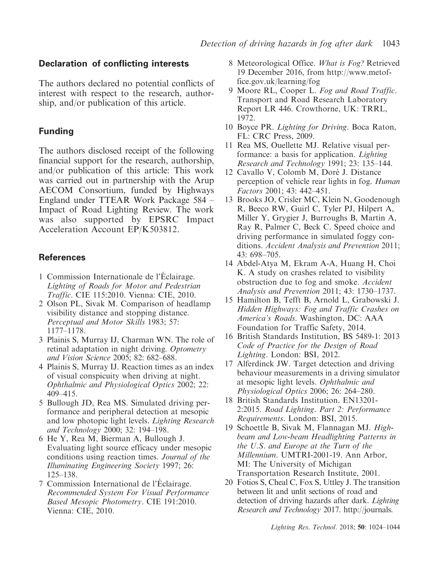### Declaration of conflicting interests

The authors declared no potential conflicts of interest with respect to the research, authorship, and/or publication of this article.

## Funding

The authors disclosed receipt of the following financial support for the research, authorship, and/or publication of this article: This work was carried out in partnership with the Arup AECOM Consortium, funded by Highways England under TTEAR Work Package 584 – Impact of Road Lighting Review. The work was also supported by EPSRC Impact Acceleration Account EP/K503812.

## References

- 1 Commission Internationale de l'Éclairage. Lighting of Roads for Motor and Pedestrian Traffic. CIE 115:2010. Vienna: CIE, 2010.
- 2 Olson PL, Sivak M. Comparison of headlamp visibility distance and stopping distance. Perceptual and Motor Skills 1983; 57: 1177–1178.
- 3 Plainis S, Murray IJ, Charman WN. The role of retinal adaptation in night driving. Optometry and Vision Science 2005; 82: 682–688.
- 4 Plainis S, Murray IJ. Reaction times as an index of visual conspicuity when driving at night. Ophthalmic and Physiological Optics 2002; 22: 409–415.
- 5 Bullough JD, Rea MS. Simulated driving performance and peripheral detection at mesopic and low photopic light levels. Lighting Research and Technology 2000; 32: 194–198.
- 6 He Y, Rea M, Bierman A, Bullough J. Evaluating light source efficacy under mesopic conditions using reaction times. Journal of the Illuminating Engineering Society 1997; 26: 125–138.
- 7 Commission International de l'Eclairage. Recommended System For Visual Performance Based Mesopic Photometry. CIE 191:2010. Vienna: CIE, 2010.
- 8 Meteorological Office. What is Fog? Retrieved 19 December 2016, from [http://www.metof](http://www.metoffice.gov.uk/learning/fog)[fice.gov.uk/learning/fog](http://www.metoffice.gov.uk/learning/fog)
- 9 Moore RL, Cooper L. Fog and Road Traffic. Transport and Road Research Laboratory Report LR 446. Crowthorne, UK: TRRL, 1972.
- 10 Boyce PR. Lighting for Driving. Boca Raton, FL: CRC Press, 2009.
- 11 Rea MS, Ouellette MJ. Relative visual performance: a basis for application. Lighting Research and Technology 1991; 23: 135–144.
- 12 Cavallo V, Colomb M, Doré J. Distance perception of vehicle rear lights in fog. Human Factors 2001; 43: 442–451.
- 13 Brooks JO, Crisler MC, Klein N, Goodenough R, Beeco RW, Guirl C, Tyler PJ, Hilpert A, Miller Y, Grygier J, Burroughs B, Martin A, Ray R, Palmer C, Beck C. Speed choice and driving performance in simulated foggy conditions. Accident Analysis and Prevention 2011; 43: 698–705.
- 14 Abdel-Atya M, Ekram A-A, Huang H, Choi K. A study on crashes related to visibility obstruction due to fog and smoke. Accident Analysis and Prevention 2011; 43: 1730–1737.
- 15 Hamilton B, Tefft B, Arnold L, Grabowski J. Hidden Highways: Fog and Traffic Crashes on America's Roads. Washington, DC: AAA Foundation for Traffic Safety, 2014.
- 16 British Standards Institution, BS 5489-1: 2013 Code of Practice for the Design of Road Lighting. London: BSI, 2012.
- 17 Alferdinck JW. Target detection and driving behaviour measurements in a driving simulator at mesopic light levels. Ophthalmic and Physiological Optics 2006; 26: 264–280.
- 18 British Standards Institution. EN13201- 2:2015. Road Lighting. Part 2: Performance Requirements. London: BSI, 2015.
- 19 Schoettle B, Sivak M, Flannagan MJ. Highbeam and Low-beam Headlighting Patterns in the U.S. and Europe at the Turn of the Millennium. UMTRI-2001-19. Ann Arbor, MI: The University of Michigan Transportation Research Institute, 2001.
- 20 Fotios S, Cheal C, Fox S, Uttley J. The transition between lit and unlit sections of road and detection of driving hazards after dark. Lighting Research and Technology 2017. [http://journals.](http://journals.sagepub.com/doi/full/10.1177/1477153517725775)